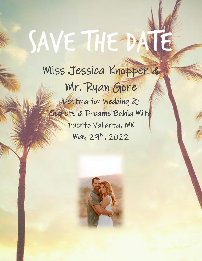# SAVE THE DAY

## Miss Jessica Knopper & Mr. Ryan Gore

Destination Wedding @ Secrets & Dreams Bahia Mita Puerto Vallarta, MX May 29th, 2022

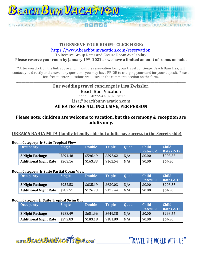

### **TO RESERVE YOUR ROOM– CLICK HERE:**

<https://www.beachbumvacation.com/reservation>

To Receive Group Rates and Ensure Room Availability

**Please reserve your room by January 19th, 2022 as we have a limited amount of rooms on hold.**

\*\*After you click on the link above and fill out the reservation form, our travel concierge, Beach Bum Lisa, will contact you directly and answer any questions you may have PRIOR to charging your card for your deposit. Please feel free to enter questions/requests on the comments section on the form.

\_\_\_\_\_\_\_\_\_\_\_\_\_\_\_\_\_\_\_\_\_\_\_\_\_\_\_\_\_\_\_\_\_\_\_\_\_\_\_\_\_\_\_\_\_\_\_\_\_\_\_\_\_\_\_\_\_\_\_\_\_\_\_\_\_\_\_\_\_\_\_\_\_\_\_\_\_\_\_\_\_\_\_\_\_\_\_\_\_\_\_\_\_\_\_\_\_\_\_\_\_\_\_\_\_\_\_\_\_\_\_\_\_\_\_\_\_\_\_\_\_\_\_\_\_\_

#### **Our wedding travel concierge is Lisa Zwissler.** Beach Bum Vacation Phone: 1-877-943-8282 Ext 12 Lisa@beachbumvacation.com **All RATES ARE ALL INCLUSIVE, PER PERSON**

#### **Please note: children are welcome to vacation, but the ceremony & reception are adults only.**

#### **DREAMS BAHIA MITA (family friendly side but adults have access to the Secrets side)**

#### **Room Category: Jr Suite Tropical View**

| <b>Occupancy</b>             | <b>Single</b> | <b>Double</b> | <b>Triple</b> | <b>Ouad</b> | <b>Child</b><br>Rates 0-1 | <b>Child</b><br>Rates 2-12 |
|------------------------------|---------------|---------------|---------------|-------------|---------------------------|----------------------------|
| 3 Night Package              | \$894.48      | \$596.49      | \$592.62      | N/A         | \$0.00                    | \$298.55                   |
| <b>Additional Night Rate</b> | \$263.16      | \$163.83      | \$162.54      | N/A         | \$0.00                    | \$64.50                    |

#### **Room Category: Jr Suite Partial Ocean View**

| <b>Occupancy</b>             | <b>Single</b> | <b>Double</b> | <b>Triple</b> | <b>Ouad</b> | <b>Child</b><br>Rates 0-1 | <b>Child</b><br>Rates 2-12 |
|------------------------------|---------------|---------------|---------------|-------------|---------------------------|----------------------------|
| 3 Night Package              | \$952.53      | \$635.19      | \$630.03      | N/A         | \$0.00                    | \$298.55                   |
| <b>Additional Night Rate</b> | \$282.51      | \$176.73      | \$175.44      | N/A         | \$0.00                    | \$64.50                    |

#### **Room Category: Jr Suite Tropical Swim Out**

| <b>Occupancy</b>             | <b>Single</b> | <b>Double</b> | <b>Triple</b> | <b>Ouad</b> | <b>Child</b> | <b>Child</b> |
|------------------------------|---------------|---------------|---------------|-------------|--------------|--------------|
|                              |               |               |               |             | Rates 0-1    | Rates 2-12   |
| 3 Night Package              | \$983.49      | \$651.96      | \$649.38      | N/A         | \$0.00       | \$298.55     |
| <b>Additional Night Rate</b> | \$292.83      | \$183.18      | \$181.89      | N/A         | \$0.00       | \$64.50      |

www.BEACHBUMVACATTEN.com

"TRAVFI THE WORLD WITH US"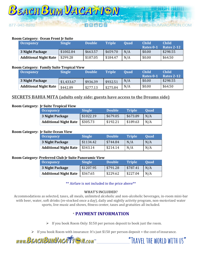#### **Room Category: Ocean Front Jr Suite**

877-943-8282

| <b>Occupancy</b>             | <b>Single</b> | <b>Double</b> | <b>Triple</b> | <b>Ouad</b> | <b>Child</b><br>Rates 0-1 | <b>Child</b><br><b>Rates 2-12</b> |
|------------------------------|---------------|---------------|---------------|-------------|---------------------------|-----------------------------------|
| 3 Night Package              | \$1002.84     | \$663.57      | \$659.70      | N/A         | \$0.00                    | \$298.55                          |
| <b>Additional Night Rate</b> | \$299.28      | \$187.05      | \$184.47      | N/A         | \$0.00                    | \$64.50                           |

#### **Room Category: Family Suite Tropical View**

| <b>Occupancy</b>             | <b>Single</b> | <b>Double</b> | <b>Triple</b> | <b>Ouad</b> | Child<br>Rates 0-1 | Child<br>Rates 2-12 |
|------------------------------|---------------|---------------|---------------|-------------|--------------------|---------------------|
| <b>3 Night Package</b>       | \$1,433.67    | \$936.39      | \$932.51      | N/A         | \$0.00             | \$298.55            |
| <b>Additional Night Rate</b> | \$442.89      | \$277.13      | \$275.84      | N/A         | \$0.00             | \$64.50             |

#### **SECRETS BAHIA MITA (adults only side: guests have access to the Dreams side)**

#### **Room Category: Jr Suite Tropical View**

| <b>Occupancy</b>             | <b>Single</b> | <b>Double</b> | <b>Triple</b> | <b>Ouad</b> |
|------------------------------|---------------|---------------|---------------|-------------|
| 3 Night Package              | \$1022.19     | \$679.05      | \$673.89      | N/A         |
| <b>Additional Night Rate</b> | \$305.73      | \$192.21      | \$189.63      | N/A         |

#### **Room Category: Jr Suite Ocean View**

| <b>Occupancy</b>             | <b>Single</b> | <b>Double</b> | <b>Triple</b> | <b>Ouad</b> |
|------------------------------|---------------|---------------|---------------|-------------|
| 3 Night Package              | \$1134.42     | \$744.84      | N/A           | N/A         |
| <b>Additional Night Rate</b> | \$343.14      | \$214.14      | N/A           | N/A         |

#### **Room Category: Preferred Club Jr Suite Panoramic View**

| <b>Occupancy</b>             | <b>Single</b> | <b>Double</b> | <b>Triple</b> ' | <b>Ouad</b> |
|------------------------------|---------------|---------------|-----------------|-------------|
| 3 Night Package              | \$1207.95     | \$791.28      | \$787.41        | N/A         |
| <b>Additional Night Rate</b> | \$367.65      | \$229.62      | \$227.04        | N/A         |

\*\* Airfare is not included in the price above\*\*

#### **WHAT'S INCLUDED?**

Accommodations as selected, taxes, all meals, unlimited alcoholic and non-alcoholic beverages, in-room mini-bar with beer, water, soft drinks (re-stocked once a day), daily and nightly activity program, non-motorized water sports, live music and shows, fitness center, taxes and gratuities all included.

#### \* **PAYMENT INFORMATION**

➢ If you book Room Only: \$150 per person deposit to book just the room.

➢ If you book Room with insurance: It's just \$150 per person deposit + the cost of insurance.

WWW.BEACHBUMVACATTE M.COM



CHRUMVACATION COM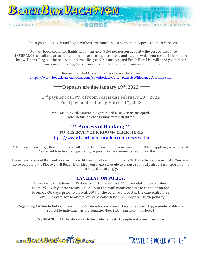

 $\triangleright$  If you book Room and flights without insurance: \$150 per person deposit + total airfare cost.

 $\triangleright$  If you book Room and flights with insurance: \$150 per person deposit + the cost of insurance. **INSURANCE** is available at an additional cost based on age, trip cost, and state in which you reside. Information below. Upon filling out the reservation form, click yes for insurance, and Beach Bum Lisa will send you further information and pricing, & you can advise her at that time if you want to purchase.

Recommended Classic Plan w/Cancel Anytime <https://www.beachbumvacations.com/savethedate/AllianzClassicWithCancelAnytimePlan>

#### **\*\*\*\*\*Deposits are due January 19th, 2022 \*\*\*\*\***

2nd payment of 30% of room cost is due February 18th, 2022 Final payment is due by March 11th, 2022

Visa, MasterCard, American Express and Discover are accepted. Note: Returned checks subject to \$30.00 fee.

#### **\*\*\* Process of Booking** \*\*\* **TO RESERVE YOUR ROOM– CLICK HERE:** <https://www.beachbumvacation.com/reservation>

\*\*Our travel concierge, Beach Bum Lisa will contact you confirming your vacation PRIOR to applying your deposit. Please feel free to enter questions/requests on the comments section on the form.

If you have frequent flyer miles or airline credit vouchers Beach Bum Lisa is NOT able to book your flight. You must do so on your own. Please email Beach Bum Lisa your flight schedule to ensure roundtrip airport transportation is arranged accordingly.

#### **CANCELATION POLICY:**

From deposit date until 96 days prior to departure, \$50 cancelation fee applies. From 95-66 days prior to arrival, 30% of the total room cost is the cancelation fee. From 65-36 days prior to arrival, 50% of the total room cost is the cancelation fee From 35 days prior to arrival onward cancelation will inquire 100% penalty.

**Regarding Airline tickets** – if Beach Bum Vacation booked your tickets - they are 100% nonrefundable and subject to individual airline penalties/fees (see insurance info above).

**INSURANCE:** All the above would be protected with the optional travel insurance.

www.BEACHBUMVACATTEM.com